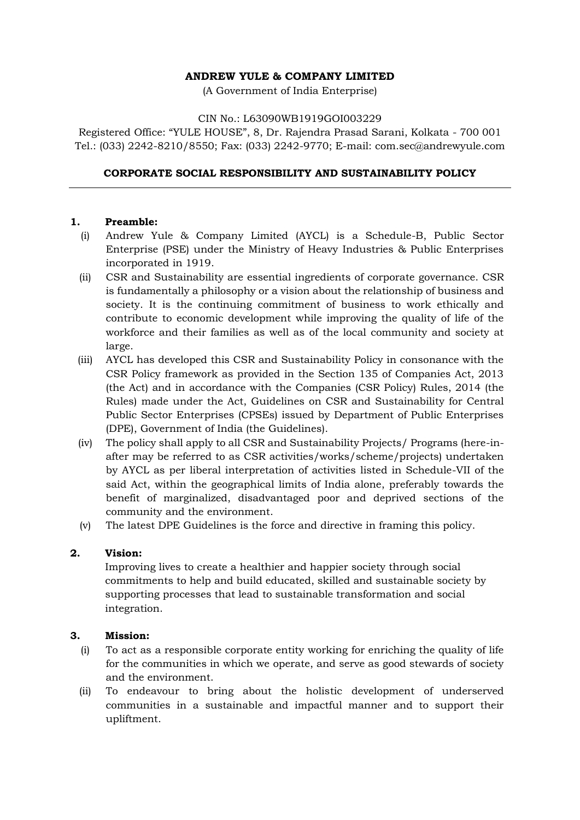### **ANDREW YULE & COMPANY LIMITED**

(A Government of India Enterprise)

#### CIN No.: L63090WB1919GOI003229

Registered Office: "YULE HOUSE", 8, Dr. Rajendra Prasad Sarani, Kolkata - 700 001 Tel.: (033) 2242-8210/8550; Fax: (033) 2242-9770; E-mail: [com.sec@andrewyule.com](mailto:com.sec@andrewyule.com)

### **CORPORATE SOCIAL RESPONSIBILITY AND SUSTAINABILITY POLICY**

#### **1. Preamble:**

- (i) Andrew Yule & Company Limited (AYCL) is a Schedule-B, Public Sector Enterprise (PSE) under the Ministry of Heavy Industries & Public Enterprises incorporated in 1919.
- (ii) CSR and Sustainability are essential ingredients of corporate governance. CSR is fundamentally a philosophy or a vision about the relationship of business and society. It is the continuing commitment of business to work ethically and contribute to economic development while improving the quality of life of the workforce and their families as well as of the local community and society at large.
- (iii) AYCL has developed this CSR and Sustainability Policy in consonance with the CSR Policy framework as provided in the Section 135 of Companies Act, 2013 (the Act) and in accordance with the Companies (CSR Policy) Rules, 2014 (the Rules) made under the Act, Guidelines on CSR and Sustainability for Central Public Sector Enterprises (CPSEs) issued by Department of Public Enterprises (DPE), Government of India (the Guidelines).
- (iv) The policy shall apply to all CSR and Sustainability Projects/ Programs (here-inafter may be referred to as CSR activities/works/scheme/projects) undertaken by AYCL as per liberal interpretation of activities listed in Schedule-VII of the said Act, within the geographical limits of India alone, preferably towards the benefit of marginalized, disadvantaged poor and deprived sections of the community and the environment.
- (v) The latest DPE Guidelines is the force and directive in framing this policy.

#### **2. Vision:**

Improving lives to create a healthier and happier society through social commitments to help and build educated, skilled and sustainable society by supporting processes that lead to sustainable transformation and social integration.

### **3. Mission:**

- (i) To act as a responsible corporate entity working for enriching the quality of life for the communities in which we operate, and serve as good stewards of society and the environment.
- (ii) To endeavour to bring about the holistic development of underserved communities in a sustainable and impactful manner and to support their upliftment.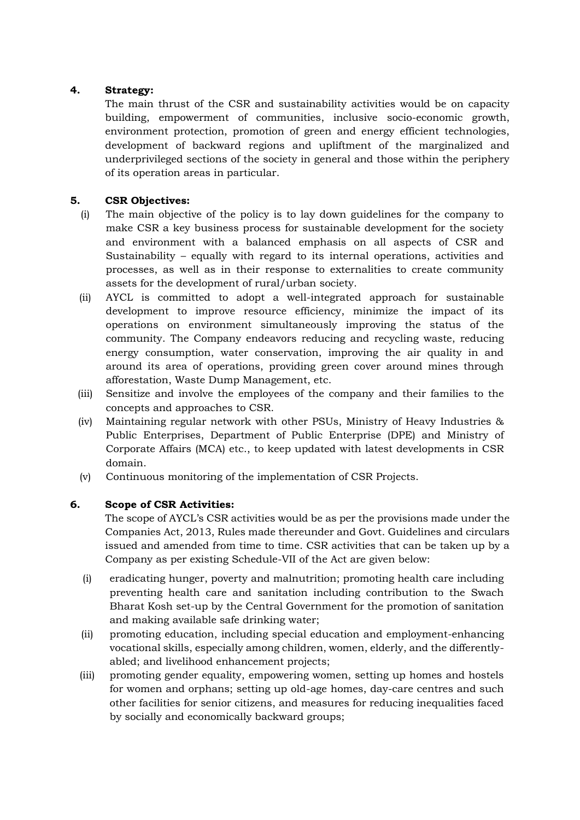# **4. Strategy:**

The main thrust of the CSR and sustainability activities would be on capacity building, empowerment of communities, inclusive socio-economic growth, environment protection, promotion of green and energy efficient technologies, development of backward regions and upliftment of the marginalized and underprivileged sections of the society in general and those within the periphery of its operation areas in particular.

### **5. CSR Objectives:**

- (i) The main objective of the policy is to lay down guidelines for the company to make CSR a key business process for sustainable development for the society and environment with a balanced emphasis on all aspects of CSR and Sustainability – equally with regard to its internal operations, activities and processes, as well as in their response to externalities to create community assets for the development of rural/urban society.
- (ii) AYCL is committed to adopt a well-integrated approach for sustainable development to improve resource efficiency, minimize the impact of its operations on environment simultaneously improving the status of the community. The Company endeavors reducing and recycling waste, reducing energy consumption, water conservation, improving the air quality in and around its area of operations, providing green cover around mines through afforestation, Waste Dump Management, etc.
- (iii) Sensitize and involve the employees of the company and their families to the concepts and approaches to CSR.
- (iv) Maintaining regular network with other PSUs, Ministry of Heavy Industries & Public Enterprises, Department of Public Enterprise (DPE) and Ministry of Corporate Affairs (MCA) etc., to keep updated with latest developments in CSR domain.
- (v) Continuous monitoring of the implementation of CSR Projects.

#### **6. Scope of CSR Activities:**

The scope of AYCL's CSR activities would be as per the provisions made under the Companies Act, 2013, Rules made thereunder and Govt. Guidelines and circulars issued and amended from time to time. CSR activities that can be taken up by a Company as per existing Schedule-VII of the Act are given below:

- (i) eradicating hunger, poverty and malnutrition; promoting health care including preventing health care and sanitation including contribution to the Swach Bharat Kosh set-up by the Central Government for the promotion of sanitation and making available safe drinking water;
- (ii) promoting education, including special education and employment-enhancing vocational skills, especially among children, women, elderly, and the differentlyabled; and livelihood enhancement projects;
- (iii) promoting gender equality, empowering women, setting up homes and hostels for women and orphans; setting up old-age homes, day-care centres and such other facilities for senior citizens, and measures for reducing inequalities faced by socially and economically backward groups;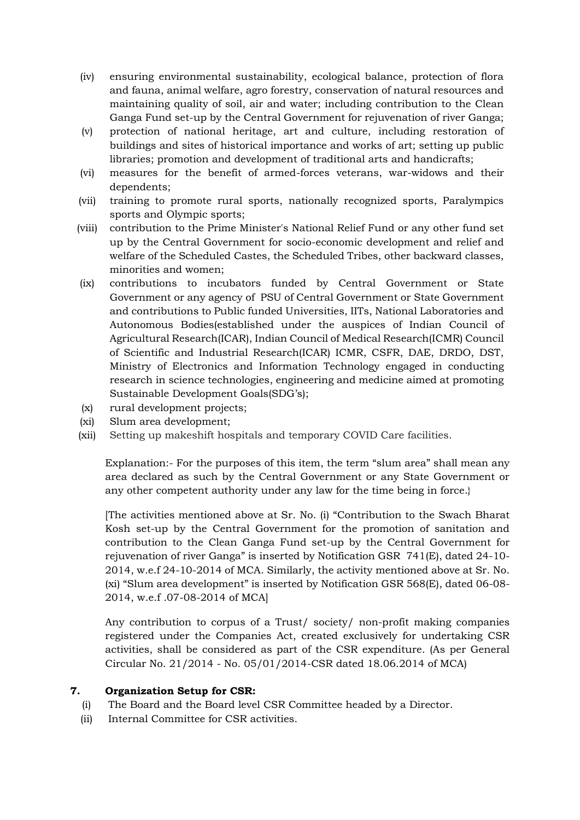- (iv) ensuring environmental sustainability, ecological balance, protection of flora and fauna, animal welfare, agro forestry, conservation of natural resources and maintaining quality of soil, air and water; including contribution to the Clean Ganga Fund set-up by the Central Government for rejuvenation of river Ganga;
- (v) protection of national heritage, art and culture, including restoration of buildings and sites of historical importance and works of art; setting up public libraries; promotion and development of traditional arts and handicrafts;
- (vi) measures for the benefit of armed-forces veterans, war-widows and their dependents;
- (vii) training to promote rural sports, nationally recognized sports, Paralympics sports and Olympic sports;
- (viii) contribution to the Prime Minister's National Relief Fund or any other fund set up by the Central Government for socio-economic development and relief and welfare of the Scheduled Castes, the Scheduled Tribes, other backward classes, minorities and women;
- (ix) contributions to incubators funded by Central Government or State Government or any agency of PSU of Central Government or State Government and contributions to Public funded Universities, IITs, National Laboratories and Autonomous Bodies(established under the auspices of Indian Council of Agricultural Research(ICAR), Indian Council of Medical Research(ICMR) Council of Scientific and Industrial Research(ICAR) ICMR, CSFR, DAE, DRDO, DST, Ministry of Electronics and Information Technology engaged in conducting research in science technologies, engineering and medicine aimed at promoting Sustainable Development Goals(SDG's);
- (x) rural development projects;
- (xi) Slum area development;
- (xii) Setting up makeshift hospitals and temporary COVID Care facilities.

Explanation:- For the purposes of this item, the term "slum area" shall mean any area declared as such by the Central Government or any State Government or any other competent authority under any law for the time being in force.}

[The activities mentioned above at Sr. No. (i) "Contribution to the Swach Bharat Kosh set-up by the Central Government for the promotion of sanitation and contribution to the Clean Ganga Fund set-up by the Central Government for rejuvenation of river Ganga" is inserted by Notification GSR 741(E), dated 24-10- 2014, w.e.f 24-10-2014 of MCA. Similarly, the activity mentioned above at Sr. No. (xi) "Slum area development" is inserted by Notification GSR 568(E), dated 06-08- 2014, w.e.f .07-08-2014 of MCA]

Any contribution to corpus of a Trust/ society/ non-profit making companies registered under the Companies Act, created exclusively for undertaking CSR activities, shall be considered as part of the CSR expenditure. (As per General Circular No. 21/2014 - No. 05/01/2014-CSR dated 18.06.2014 of MCA)

### **7. Organization Setup for CSR:**

- (i) The Board and the Board level CSR Committee headed by a Director.
- (ii) Internal Committee for CSR activities.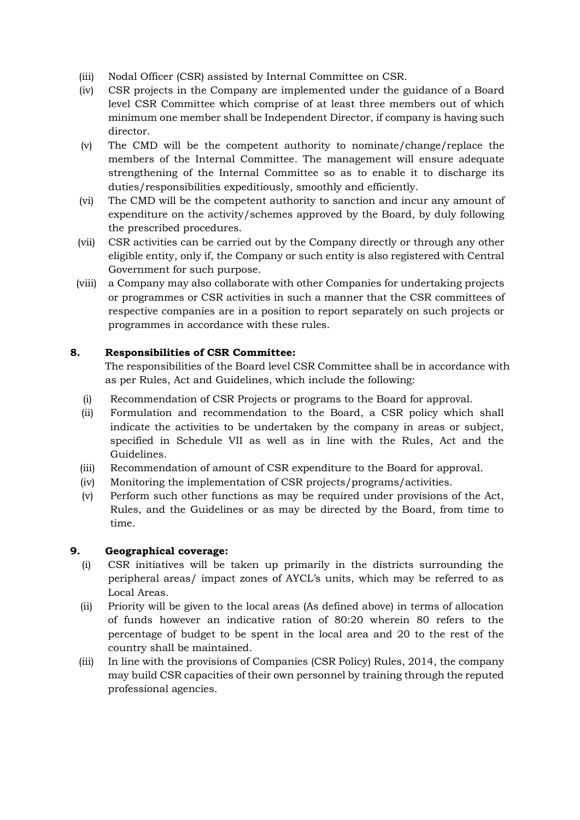- (iii) Nodal Officer (CSR) assisted by Internal Committee on CSR.
- (iv) CSR projects in the Company are implemented under the guidance of a Board level CSR Committee which comprise of at least three members out of which minimum one member shall be Independent Director, if company is having such director.
- (v) The CMD will be the competent authority to nominate/change/replace the members of the Internal Committee. The management will ensure adequate strengthening of the Internal Committee so as to enable it to discharge its duties/responsibilities expeditiously, smoothly and efficiently.
- (vi) The CMD will be the competent authority to sanction and incur any amount of expenditure on the activity/schemes approved by the Board, by duly following the prescribed procedures.
- (vii) CSR activities can be carried out by the Company directly or through any other eligible entity, only if, the Company or such entity is also registered with Central Government for such purpose.
- (viii) a Company may also collaborate with other Companies for undertaking projects or programmes or CSR activities in such a manner that the CSR committees of respective companies are in a position to report separately on such projects or programmes in accordance with these rules.

# **8. Responsibilities of CSR Committee:**

The responsibilities of the Board level CSR Committee shall be in accordance with as per Rules, Act and Guidelines, which include the following:

- (i) Recommendation of CSR Projects or programs to the Board for approval.
- (ii) Formulation and recommendation to the Board, a CSR policy which shall indicate the activities to be undertaken by the company in areas or subject, specified in Schedule VII as well as in line with the Rules, Act and the Guidelines.
- (iii) Recommendation of amount of CSR expenditure to the Board for approval.
- (iv) Monitoring the implementation of CSR projects/programs/activities.
- (v) Perform such other functions as may be required under provisions of the Act, Rules, and the Guidelines or as may be directed by the Board, from time to time.

# **9. Geographical coverage:**

- (i) CSR initiatives will be taken up primarily in the districts surrounding the peripheral areas/ impact zones of AYCL's units, which may be referred to as Local Areas.
- (ii) Priority will be given to the local areas (As defined above) in terms of allocation of funds however an indicative ration of 80:20 wherein 80 refers to the percentage of budget to be spent in the local area and 20 to the rest of the country shall be maintained.
- (iii) In line with the provisions of Companies (CSR Policy) Rules, 2014, the company may build CSR capacities of their own personnel by training through the reputed professional agencies.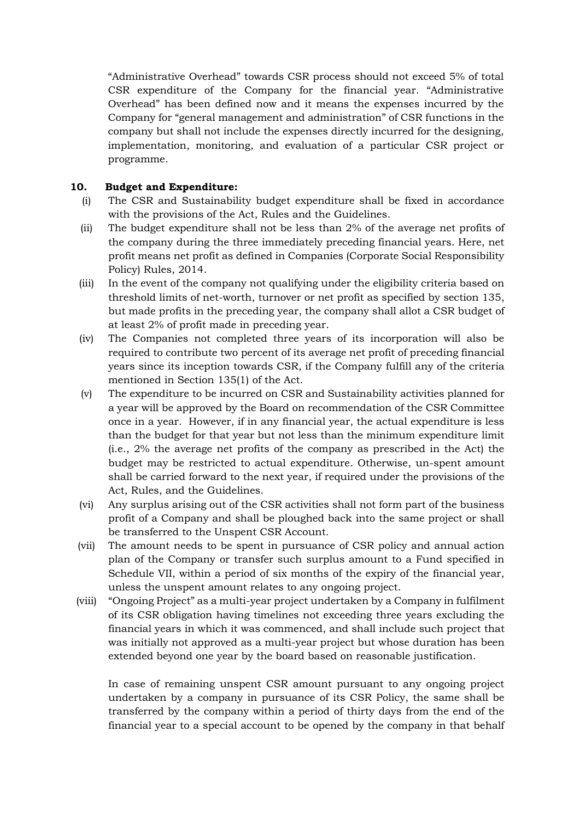"Administrative Overhead" towards CSR process should not exceed 5% of total CSR expenditure of the Company for the financial year. "Administrative Overhead" has been defined now and it means the expenses incurred by the Company for "general management and administration" of CSR functions in the company but shall not include the expenses directly incurred for the designing, implementation, monitoring, and evaluation of a particular CSR project or programme.

# **10. Budget and Expenditure:**

- (i) The CSR and Sustainability budget expenditure shall be fixed in accordance with the provisions of the Act, Rules and the Guidelines.
- (ii) The budget expenditure shall not be less than 2% of the average net profits of the company during the three immediately preceding financial years. Here, net profit means net profit as defined in Companies (Corporate Social Responsibility Policy) Rules, 2014.
- (iii) In the event of the company not qualifying under the eligibility criteria based on threshold limits of net-worth, turnover or net profit as specified by section 135, but made profits in the preceding year, the company shall allot a CSR budget of at least 2% of profit made in preceding year.
- (iv) The Companies not completed three years of its incorporation will also be required to contribute two percent of its average net profit of preceding financial years since its inception towards CSR, if the Company fulfill any of the criteria mentioned in Section 135(1) of the Act.
- (v) The expenditure to be incurred on CSR and Sustainability activities planned for a year will be approved by the Board on recommendation of the CSR Committee once in a year. However, if in any financial year, the actual expenditure is less than the budget for that year but not less than the minimum expenditure limit (i.e., 2% the average net profits of the company as prescribed in the Act) the budget may be restricted to actual expenditure. Otherwise, un-spent amount shall be carried forward to the next year, if required under the provisions of the Act, Rules, and the Guidelines.
- (vi) Any surplus arising out of the CSR activities shall not form part of the business profit of a Company and shall be ploughed back into the same project or shall be transferred to the Unspent CSR Account.
- (vii) The amount needs to be spent in pursuance of CSR policy and annual action plan of the Company or transfer such surplus amount to a Fund specified in Schedule VII, within a period of six months of the expiry of the financial year, unless the unspent amount relates to any ongoing project.
- (viii) "Ongoing Project" as a multi-year project undertaken by a Company in fulfilment of its CSR obligation having timelines not exceeding three years excluding the financial years in which it was commenced, and shall include such project that was initially not approved as a multi-year project but whose duration has been extended beyond one year by the board based on reasonable justification.

In case of remaining unspent CSR amount pursuant to any ongoing project undertaken by a company in pursuance of its CSR Policy, the same shall be transferred by the company within a period of thirty days from the end of the financial year to a special account to be opened by the company in that behalf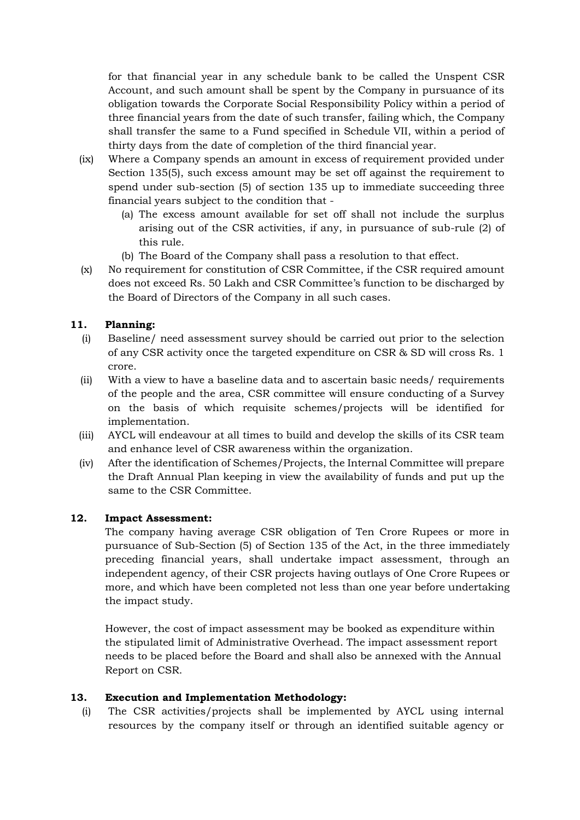for that financial year in any schedule bank to be called the Unspent CSR Account, and such amount shall be spent by the Company in pursuance of its obligation towards the Corporate Social Responsibility Policy within a period of three financial years from the date of such transfer, failing which, the Company shall transfer the same to a Fund specified in Schedule VII, within a period of thirty days from the date of completion of the third financial year.

- (ix) Where a Company spends an amount in excess of requirement provided under Section 135(5), such excess amount may be set off against the requirement to spend under sub-section (5) of section 135 up to immediate succeeding three financial years subject to the condition that -
	- (a) The excess amount available for set off shall not include the surplus arising out of the CSR activities, if any, in pursuance of sub-rule (2) of this rule.
	- (b) The Board of the Company shall pass a resolution to that effect.
- (x) No requirement for constitution of CSR Committee, if the CSR required amount does not exceed Rs. 50 Lakh and CSR Committee's function to be discharged by the Board of Directors of the Company in all such cases.

# **11. Planning:**

- (i) Baseline/ need assessment survey should be carried out prior to the selection of any CSR activity once the targeted expenditure on CSR & SD will cross Rs. 1 crore.
- (ii) With a view to have a baseline data and to ascertain basic needs/ requirements of the people and the area, CSR committee will ensure conducting of a Survey on the basis of which requisite schemes/projects will be identified for implementation.
- (iii) AYCL will endeavour at all times to build and develop the skills of its CSR team and enhance level of CSR awareness within the organization.
- (iv) After the identification of Schemes/Projects, the Internal Committee will prepare the Draft Annual Plan keeping in view the availability of funds and put up the same to the CSR Committee.

# **12. Impact Assessment:**

The company having average CSR obligation of Ten Crore Rupees or more in pursuance of Sub-Section (5) of Section 135 of the Act, in the three immediately preceding financial years, shall undertake impact assessment, through an independent agency, of their CSR projects having outlays of One Crore Rupees or more, and which have been completed not less than one year before undertaking the impact study.

However, the cost of impact assessment may be booked as expenditure within the stipulated limit of Administrative Overhead. The impact assessment report needs to be placed before the Board and shall also be annexed with the Annual Report on CSR.

# **13. Execution and Implementation Methodology:**

(i) The CSR activities/projects shall be implemented by AYCL using internal resources by the company itself or through an identified suitable agency or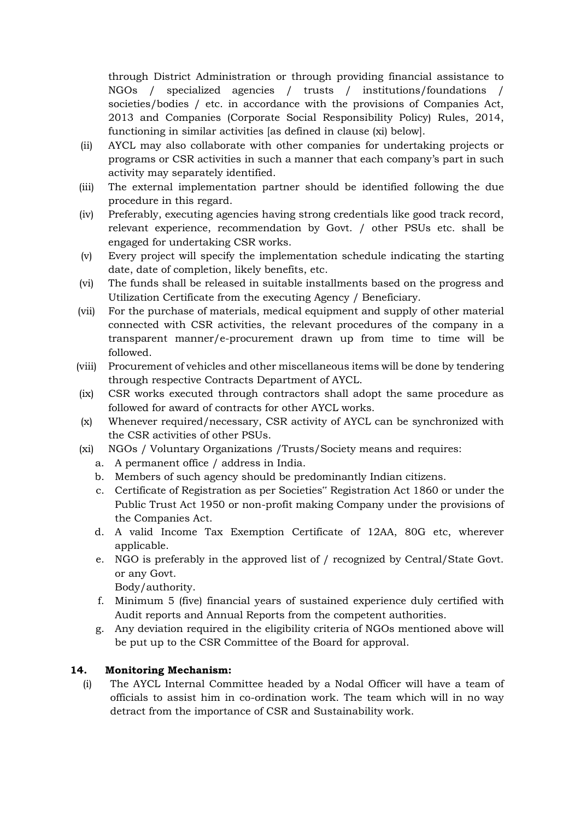through District Administration or through providing financial assistance to NGOs / specialized agencies / trusts / institutions/foundations / societies/bodies / etc. in accordance with the provisions of Companies Act, 2013 and Companies (Corporate Social Responsibility Policy) Rules, 2014, functioning in similar activities [as defined in clause (xi) below].

- (ii) AYCL may also collaborate with other companies for undertaking projects or programs or CSR activities in such a manner that each company's part in such activity may separately identified.
- (iii) The external implementation partner should be identified following the due procedure in this regard.
- (iv) Preferably, executing agencies having strong credentials like good track record, relevant experience, recommendation by Govt. / other PSUs etc. shall be engaged for undertaking CSR works.
- (v) Every project will specify the implementation schedule indicating the starting date, date of completion, likely benefits, etc.
- (vi) The funds shall be released in suitable installments based on the progress and Utilization Certificate from the executing Agency / Beneficiary.
- (vii) For the purchase of materials, medical equipment and supply of other material connected with CSR activities, the relevant procedures of the company in a transparent manner/e-procurement drawn up from time to time will be followed.
- (viii) Procurement of vehicles and other miscellaneous items will be done by tendering through respective Contracts Department of AYCL.
- (ix) CSR works executed through contractors shall adopt the same procedure as followed for award of contracts for other AYCL works.
- (x) Whenever required/necessary, CSR activity of AYCL can be synchronized with the CSR activities of other PSUs.
- (xi) NGOs / Voluntary Organizations /Trusts/Society means and requires:
	- a. A permanent office / address in India.
	- b. Members of such agency should be predominantly Indian citizens.
	- c. Certificate of Registration as per Societies" Registration Act 1860 or under the Public Trust Act 1950 or non-profit making Company under the provisions of the Companies Act.
	- d. A valid Income Tax Exemption Certificate of 12AA, 80G etc, wherever applicable.
	- e. NGO is preferably in the approved list of / recognized by Central/State Govt. or any Govt.
		- Body/authority.
	- f. Minimum 5 (five) financial years of sustained experience duly certified with Audit reports and Annual Reports from the competent authorities.
	- g. Any deviation required in the eligibility criteria of NGOs mentioned above will be put up to the CSR Committee of the Board for approval.

# **14. Monitoring Mechanism:**

(i) The AYCL Internal Committee headed by a Nodal Officer will have a team of officials to assist him in co-ordination work. The team which will in no way detract from the importance of CSR and Sustainability work.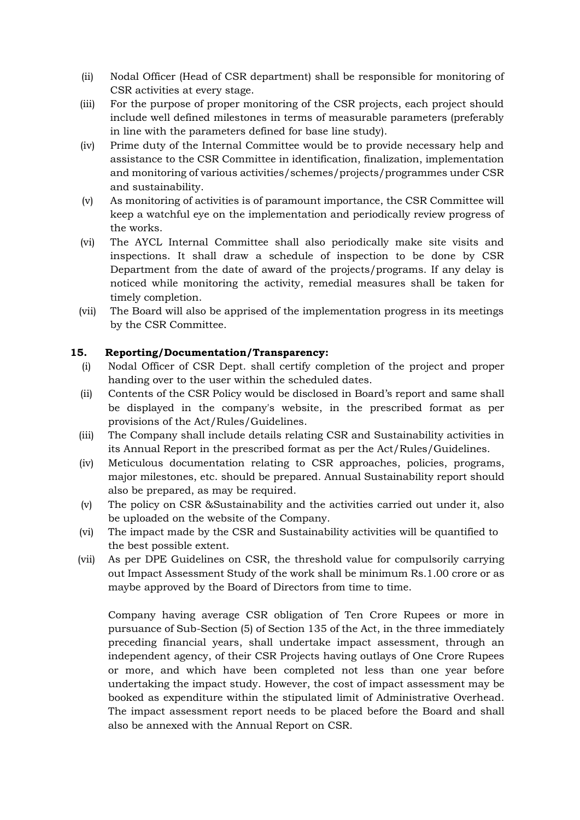- (ii) Nodal Officer (Head of CSR department) shall be responsible for monitoring of CSR activities at every stage.
- (iii) For the purpose of proper monitoring of the CSR projects, each project should include well defined milestones in terms of measurable parameters (preferably in line with the parameters defined for base line study).
- (iv) Prime duty of the Internal Committee would be to provide necessary help and assistance to the CSR Committee in identification, finalization, implementation and monitoring of various activities/schemes/projects/programmes under CSR and sustainability.
- (v) As monitoring of activities is of paramount importance, the CSR Committee will keep a watchful eye on the implementation and periodically review progress of the works.
- (vi) The AYCL Internal Committee shall also periodically make site visits and inspections. It shall draw a schedule of inspection to be done by CSR Department from the date of award of the projects/programs. If any delay is noticed while monitoring the activity, remedial measures shall be taken for timely completion.
- (vii) The Board will also be apprised of the implementation progress in its meetings by the CSR Committee.

# **15. Reporting/Documentation/Transparency:**

- (i) Nodal Officer of CSR Dept. shall certify completion of the project and proper handing over to the user within the scheduled dates.
- (ii) Contents of the CSR Policy would be disclosed in Board's report and same shall be displayed in the company's website, in the prescribed format as per provisions of the Act/Rules/Guidelines.
- (iii) The Company shall include details relating CSR and Sustainability activities in its Annual Report in the prescribed format as per the Act/Rules/Guidelines.
- (iv) Meticulous documentation relating to CSR approaches, policies, programs, major milestones, etc. should be prepared. Annual Sustainability report should also be prepared, as may be required.
- (v) The policy on CSR &Sustainability and the activities carried out under it, also be uploaded on the website of the Company.
- (vi) The impact made by the CSR and Sustainability activities will be quantified to the best possible extent.
- (vii) As per DPE Guidelines on CSR, the threshold value for compulsorily carrying out Impact Assessment Study of the work shall be minimum Rs.1.00 crore or as maybe approved by the Board of Directors from time to time.

Company having average CSR obligation of Ten Crore Rupees or more in pursuance of Sub-Section (5) of Section 135 of the Act, in the three immediately preceding financial years, shall undertake impact assessment, through an independent agency, of their CSR Projects having outlays of One Crore Rupees or more, and which have been completed not less than one year before undertaking the impact study. However, the cost of impact assessment may be booked as expenditure within the stipulated limit of Administrative Overhead. The impact assessment report needs to be placed before the Board and shall also be annexed with the Annual Report on CSR.